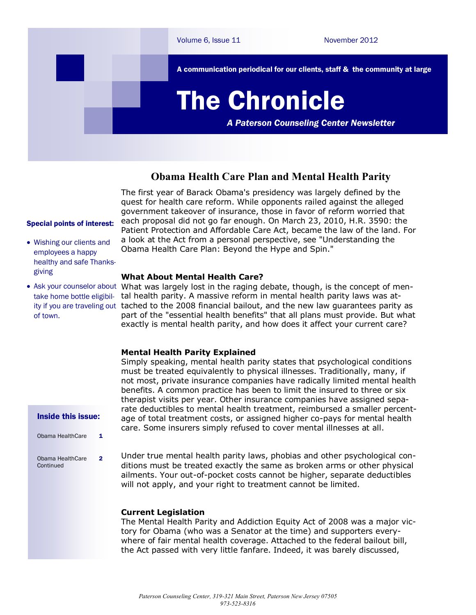

## **Obama Health Care Plan and Mental Health Parity**

The first year of Barack Obama's presidency was largely defined by the quest for health care reform. While opponents railed against the alleged government takeover of insurance, those in favor of reform worried that each proposal did not go far enough. On March 23, 2010, H.R. 3590: the Patient Protection and Affordable Care Act, became the law of the land. For a look at the Act from a personal perspective, see "Understanding the Obama Health Care Plan: Beyond the Hype and Spin."

### **What About Mental Health Care?**

• Ask your counselor about What was largely lost in the raging debate, though, is the concept of mentake home bottle eligibil- tal health parity. A massive reform in mental health parity laws was atity if you are traveling out tached to the 2008 financial bailout, and the new law guarantees parity as part of the "essential health benefits" that all plans must provide. But what exactly is mental health parity, and how does it affect your current care?

### **Mental Health Parity Explained**

Simply speaking, mental health parity states that psychological conditions must be treated equivalently to physical illnesses. Traditionally, many, if not most, private insurance companies have radically limited mental health benefits. A common practice has been to limit the insured to three or six therapist visits per year. Other insurance companies have assigned separate deductibles to mental health treatment, reimbursed a smaller percentage of total treatment costs, or assigned higher co-pays for mental health care. Some insurers simply refused to cover mental illnesses at all.

2 Under true mental health parity laws, phobias and other psychological conditions must be treated exactly the same as broken arms or other physical ailments. Your out-of-pocket costs cannot be higher, separate deductibles will not apply, and your right to treatment cannot be limited.

### **Current Legislation**

The Mental Health Parity and Addiction Equity Act of 2008 was a major victory for Obama (who was a Senator at the time) and supporters everywhere of fair mental health coverage. Attached to the federal bailout bill, the Act passed with very little fanfare. Indeed, it was barely discussed,

# Special points of interest:

- Wishing our clients and employees a happy healthy and safe Thanksgiving
- of town.

### Inside this issue:

| Obama HealthCare              | 1 |
|-------------------------------|---|
| Obama HealthCare<br>Continued | 2 |